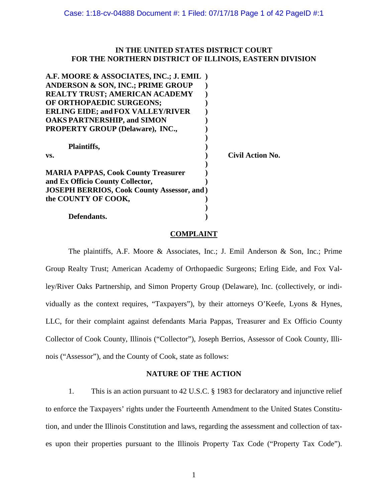## **IN THE UNITED STATES DISTRICT COURT FOR THE NORTHERN DISTRICT OF ILLINOIS, EASTERN DIVISION**

| A.F. MOORE & ASSOCIATES, INC.; J. EMIL)            |                  |
|----------------------------------------------------|------------------|
| <b>ANDERSON &amp; SON, INC.; PRIME GROUP</b>       |                  |
| <b>REALTY TRUST; AMERICAN ACADEMY</b>              |                  |
| OF ORTHOPAEDIC SURGEONS;                           |                  |
| <b>ERLING EIDE; and FOX VALLEY/RIVER</b>           |                  |
| <b>OAKS PARTNERSHIP, and SIMON</b>                 |                  |
| <b>PROPERTY GROUP (Delaware), INC.,</b>            |                  |
|                                                    |                  |
| Plaintiffs,                                        |                  |
| VS.                                                | Civil Action No. |
|                                                    |                  |
| <b>MARIA PAPPAS, Cook County Treasurer</b>         |                  |
| and Ex Officio County Collector,                   |                  |
| <b>JOSEPH BERRIOS, Cook County Assessor, and )</b> |                  |
| the COUNTY OF COOK,                                |                  |
|                                                    |                  |
| Defendants.                                        |                  |

## **COMPLAINT**

The plaintiffs, A.F. Moore & Associates, Inc.; J. Emil Anderson & Son, Inc.; Prime Group Realty Trust; American Academy of Orthopaedic Surgeons; Erling Eide, and Fox Valley/River Oaks Partnership, and Simon Property Group (Delaware), Inc. (collectively, or individually as the context requires, "Taxpayers"), by their attorneys O'Keefe, Lyons & Hynes, LLC, for their complaint against defendants Maria Pappas, Treasurer and Ex Officio County Collector of Cook County, Illinois ("Collector"), Joseph Berrios, Assessor of Cook County, Illinois ("Assessor"), and the County of Cook, state as follows:

## **NATURE OF THE ACTION**

1. This is an action pursuant to 42 U.S.C. § 1983 for declaratory and injunctive relief to enforce the Taxpayers' rights under the Fourteenth Amendment to the United States Constitution, and under the Illinois Constitution and laws, regarding the assessment and collection of taxes upon their properties pursuant to the Illinois Property Tax Code ("Property Tax Code").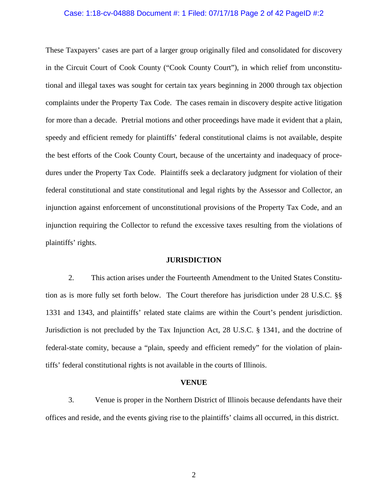### Case: 1:18-cv-04888 Document #: 1 Filed: 07/17/18 Page 2 of 42 PageID #:2

These Taxpayers' cases are part of a larger group originally filed and consolidated for discovery in the Circuit Court of Cook County ("Cook County Court"), in which relief from unconstitutional and illegal taxes was sought for certain tax years beginning in 2000 through tax objection complaints under the Property Tax Code. The cases remain in discovery despite active litigation for more than a decade. Pretrial motions and other proceedings have made it evident that a plain, speedy and efficient remedy for plaintiffs' federal constitutional claims is not available, despite the best efforts of the Cook County Court, because of the uncertainty and inadequacy of procedures under the Property Tax Code. Plaintiffs seek a declaratory judgment for violation of their federal constitutional and state constitutional and legal rights by the Assessor and Collector, an injunction against enforcement of unconstitutional provisions of the Property Tax Code, and an injunction requiring the Collector to refund the excessive taxes resulting from the violations of plaintiffs' rights.

### **JURISDICTION**

2. This action arises under the Fourteenth Amendment to the United States Constitution as is more fully set forth below. The Court therefore has jurisdiction under 28 U.S.C. §§ 1331 and 1343, and plaintiffs' related state claims are within the Court's pendent jurisdiction. Jurisdiction is not precluded by the Tax Injunction Act, 28 U.S.C. § 1341, and the doctrine of federal-state comity, because a "plain, speedy and efficient remedy" for the violation of plaintiffs' federal constitutional rights is not available in the courts of Illinois.

#### **VENUE**

3. Venue is proper in the Northern District of Illinois because defendants have their offices and reside, and the events giving rise to the plaintiffs' claims all occurred, in this district.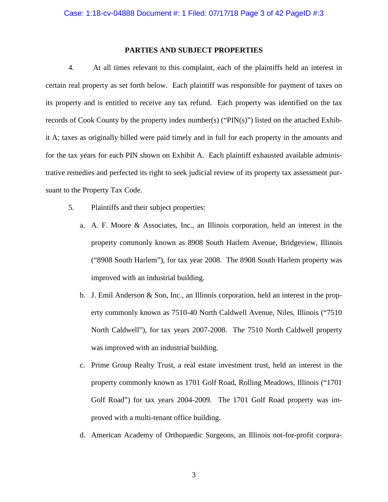### **PARTIES AND SUBJECT PROPERTIES**

4. At all times relevant to this complaint, each of the plaintiffs held an interest in certain real property as set forth below. Each plaintiff was responsible for payment of taxes on its property and is entitled to receive any tax refund. Each property was identified on the tax records of Cook County by the property index number(s) (" $PIN(s)$ ") listed on the attached Exhibit A; taxes as originally billed were paid timely and in full for each property in the amounts and for the tax years for each PIN shown on Exhibit A. Each plaintiff exhausted available administrative remedies and perfected its right to seek judicial review of its property tax assessment pursuant to the Property Tax Code.

- 5. Plaintiffs and their subject properties:
	- a. A. F. Moore & Associates, Inc., an Illinois corporation, held an interest in the property commonly known as 8908 South Harlem Avenue, Bridgeview, Illinois ("8908 South Harlem"), for tax year 2008. The 8908 South Harlem property was improved with an industrial building.
	- b. J. Emil Anderson & Son, Inc., an Illinois corporation, held an interest in the property commonly known as 7510-40 North Caldwell Avenue, Niles, Illinois ("7510 North Caldwell"), for tax years 2007-2008. The 7510 North Caldwell property was improved with an industrial building.
	- c. Prime Group Realty Trust, a real estate investment trust, held an interest in the property commonly known as 1701 Golf Road, Rolling Meadows, Illinois ("1701 Golf Road") for tax years 2004-2009. The 1701 Golf Road property was improved with a multi-tenant office building.
	- d. American Academy of Orthopaedic Surgeons, an Illinois not-for-profit corpora-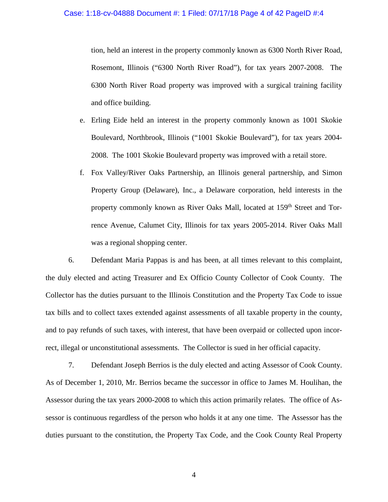### Case: 1:18-cv-04888 Document #: 1 Filed: 07/17/18 Page 4 of 42 PageID #:4

tion, held an interest in the property commonly known as 6300 North River Road, Rosemont, Illinois ("6300 North River Road"), for tax years 2007-2008. The 6300 North River Road property was improved with a surgical training facility and office building.

- e. Erling Eide held an interest in the property commonly known as 1001 Skokie Boulevard, Northbrook, Illinois ("1001 Skokie Boulevard"), for tax years 2004- 2008. The 1001 Skokie Boulevard property was improved with a retail store.
- f. Fox Valley/River Oaks Partnership, an Illinois general partnership, and Simon Property Group (Delaware), Inc., a Delaware corporation, held interests in the property commonly known as River Oaks Mall, located at 159<sup>th</sup> Street and Torrence Avenue, Calumet City, Illinois for tax years 2005-2014. River Oaks Mall was a regional shopping center.

6. Defendant Maria Pappas is and has been, at all times relevant to this complaint, the duly elected and acting Treasurer and Ex Officio County Collector of Cook County. The Collector has the duties pursuant to the Illinois Constitution and the Property Tax Code to issue tax bills and to collect taxes extended against assessments of all taxable property in the county, and to pay refunds of such taxes, with interest, that have been overpaid or collected upon incorrect, illegal or unconstitutional assessments. The Collector is sued in her official capacity.

7. Defendant Joseph Berrios is the duly elected and acting Assessor of Cook County. As of December 1, 2010, Mr. Berrios became the successor in office to James M. Houlihan, the Assessor during the tax years 2000-2008 to which this action primarily relates. The office of Assessor is continuous regardless of the person who holds it at any one time. The Assessor has the duties pursuant to the constitution, the Property Tax Code, and the Cook County Real Property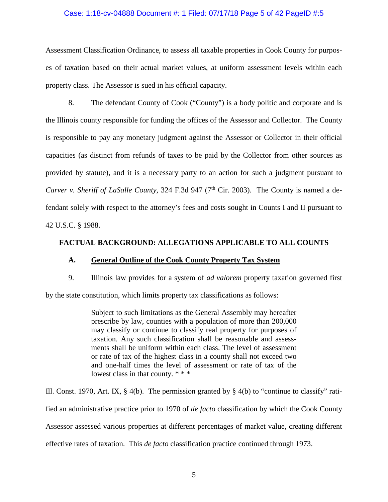### Case: 1:18-cv-04888 Document #: 1 Filed: 07/17/18 Page 5 of 42 PageID #:5

Assessment Classification Ordinance, to assess all taxable properties in Cook County for purposes of taxation based on their actual market values, at uniform assessment levels within each property class. The Assessor is sued in his official capacity.

8. The defendant County of Cook ("County") is a body politic and corporate and is the Illinois county responsible for funding the offices of the Assessor and Collector. The County is responsible to pay any monetary judgment against the Assessor or Collector in their official capacities (as distinct from refunds of taxes to be paid by the Collector from other sources as provided by statute), and it is a necessary party to an action for such a judgment pursuant to *Carver v. Sheriff of LaSalle County, 324 F.3d 947 (7<sup>th</sup> Cir. 2003). The County is named a de*fendant solely with respect to the attorney's fees and costs sought in Counts I and II pursuant to 42 U.S.C. § 1988.

## **FACTUAL BACKGROUND: ALLEGATIONS APPLICABLE TO ALL COUNTS**

## **A. General Outline of the Cook County Property Tax System**

9. Illinois law provides for a system of *ad valorem* property taxation governed first

by the state constitution, which limits property tax classifications as follows:

Subject to such limitations as the General Assembly may hereafter prescribe by law, counties with a population of more than 200,000 may classify or continue to classify real property for purposes of taxation. Any such classification shall be reasonable and assessments shall be uniform within each class. The level of assessment or rate of tax of the highest class in a county shall not exceed two and one-half times the level of assessment or rate of tax of the lowest class in that county. \* \* \*

Ill. Const. 1970, Art. IX,  $\S$  4(b). The permission granted by  $\S$  4(b) to "continue to classify" ratified an administrative practice prior to 1970 of *de facto* classification by which the Cook County Assessor assessed various properties at different percentages of market value, creating different effective rates of taxation. This *de facto* classification practice continued through 1973.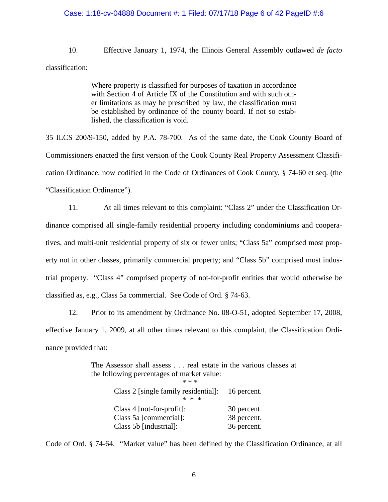### Case: 1:18-cv-04888 Document #: 1 Filed: 07/17/18 Page 6 of 42 PageID #:6

10. Effective January 1, 1974, the Illinois General Assembly outlawed *de facto* classification:

> Where property is classified for purposes of taxation in accordance with Section 4 of Article IX of the Constitution and with such other limitations as may be prescribed by law, the classification must be established by ordinance of the county board. If not so established, the classification is void.

35 ILCS 200/9-150, added by P.A. 78-700. As of the same date, the Cook County Board of Commissioners enacted the first version of the Cook County Real Property Assessment Classification Ordinance, now codified in the Code of Ordinances of Cook County, § 74-60 et seq. (the "Classification Ordinance").

11. At all times relevant to this complaint: "Class 2" under the Classification Ordinance comprised all single-family residential property including condominiums and cooperatives, and multi-unit residential property of six or fewer units; "Class 5a" comprised most property not in other classes, primarily commercial property; and "Class 5b" comprised most industrial property. "Class 4" comprised property of not-for-profit entities that would otherwise be classified as, e.g., Class 5a commercial. See Code of Ord. § 74-63.

12. Prior to its amendment by Ordinance No. 08-O-51, adopted September 17, 2008, effective January 1, 2009, at all other times relevant to this complaint, the Classification Ordinance provided that:

> The Assessor shall assess . . . real estate in the various classes at the following percentages of market value: \* \* \* Class 2 [single family residential]: 16 percent. \* \* \* Class 4 [not-for-profit]: 30 percent Class 5a [commercial]: 38 percent. Class 5b [industrial]: 36 percent.

Code of Ord. § 74-64. "Market value" has been defined by the Classification Ordinance, at all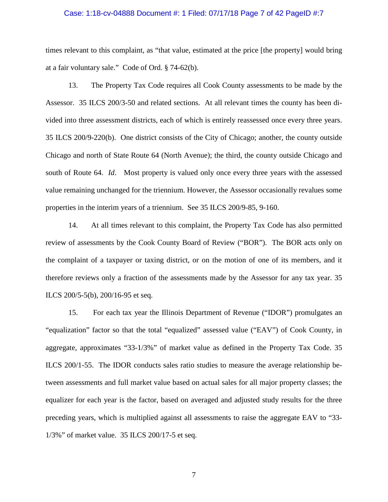### Case: 1:18-cv-04888 Document #: 1 Filed: 07/17/18 Page 7 of 42 PageID #:7

times relevant to this complaint, as "that value, estimated at the price [the property] would bring at a fair voluntary sale." Code of Ord. § 74-62(b).

13. The Property Tax Code requires all Cook County assessments to be made by the Assessor. 35 ILCS 200/3-50 and related sections. At all relevant times the county has been divided into three assessment districts, each of which is entirely reassessed once every three years. 35 ILCS 200/9-220(b). One district consists of the City of Chicago; another, the county outside Chicago and north of State Route 64 (North Avenue); the third, the county outside Chicago and south of Route 64. *Id*. Most property is valued only once every three years with the assessed value remaining unchanged for the triennium. However, the Assessor occasionally revalues some properties in the interim years of a triennium. See 35 ILCS 200/9-85, 9-160.

14. At all times relevant to this complaint, the Property Tax Code has also permitted review of assessments by the Cook County Board of Review ("BOR"). The BOR acts only on the complaint of a taxpayer or taxing district, or on the motion of one of its members, and it therefore reviews only a fraction of the assessments made by the Assessor for any tax year. 35 ILCS 200/5-5(b), 200/16-95 et seq.

15. For each tax year the Illinois Department of Revenue ("IDOR") promulgates an "equalization" factor so that the total "equalized" assessed value ("EAV") of Cook County, in aggregate, approximates "33-1/3%" of market value as defined in the Property Tax Code. 35 ILCS 200/1-55. The IDOR conducts sales ratio studies to measure the average relationship between assessments and full market value based on actual sales for all major property classes; the equalizer for each year is the factor, based on averaged and adjusted study results for the three preceding years, which is multiplied against all assessments to raise the aggregate EAV to "33- 1/3%" of market value. 35 ILCS 200/17-5 et seq.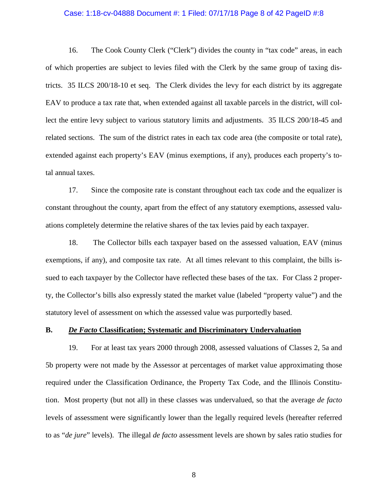### Case: 1:18-cv-04888 Document #: 1 Filed: 07/17/18 Page 8 of 42 PageID #:8

16. The Cook County Clerk ("Clerk") divides the county in "tax code" areas, in each of which properties are subject to levies filed with the Clerk by the same group of taxing districts. 35 ILCS 200/18-10 et seq. The Clerk divides the levy for each district by its aggregate EAV to produce a tax rate that, when extended against all taxable parcels in the district, will collect the entire levy subject to various statutory limits and adjustments. 35 ILCS 200/18-45 and related sections. The sum of the district rates in each tax code area (the composite or total rate), extended against each property's EAV (minus exemptions, if any), produces each property's total annual taxes.

17. Since the composite rate is constant throughout each tax code and the equalizer is constant throughout the county, apart from the effect of any statutory exemptions, assessed valuations completely determine the relative shares of the tax levies paid by each taxpayer.

18. The Collector bills each taxpayer based on the assessed valuation, EAV (minus exemptions, if any), and composite tax rate. At all times relevant to this complaint, the bills issued to each taxpayer by the Collector have reflected these bases of the tax. For Class 2 property, the Collector's bills also expressly stated the market value (labeled "property value") and the statutory level of assessment on which the assessed value was purportedly based.

### **B.** *De Facto* **Classification; Systematic and Discriminatory Undervaluation**

19. For at least tax years 2000 through 2008, assessed valuations of Classes 2, 5a and 5b property were not made by the Assessor at percentages of market value approximating those required under the Classification Ordinance, the Property Tax Code, and the Illinois Constitution. Most property (but not all) in these classes was undervalued, so that the average *de facto* levels of assessment were significantly lower than the legally required levels (hereafter referred to as "*de jure*" levels). The illegal *de facto* assessment levels are shown by sales ratio studies for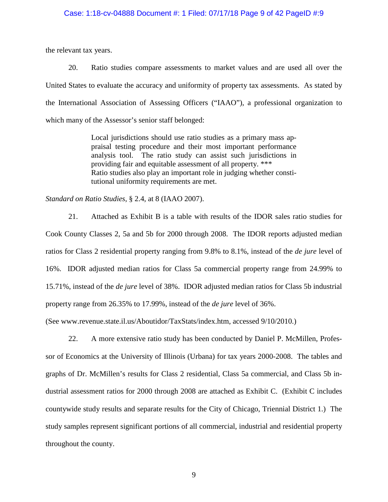#### Case: 1:18-cv-04888 Document #: 1 Filed: 07/17/18 Page 9 of 42 PageID #:9

the relevant tax years.

20. Ratio studies compare assessments to market values and are used all over the United States to evaluate the accuracy and uniformity of property tax assessments. As stated by the International Association of Assessing Officers ("IAAO"), a professional organization to which many of the Assessor's senior staff belonged:

> Local jurisdictions should use ratio studies as a primary mass appraisal testing procedure and their most important performance analysis tool. The ratio study can assist such jurisdictions in providing fair and equitable assessment of all property. \*\*\* Ratio studies also play an important role in judging whether constitutional uniformity requirements are met.

*Standard on Ratio Studies*, § 2.4, at 8 (IAAO 2007).

21. Attached as Exhibit B is a table with results of the IDOR sales ratio studies for Cook County Classes 2, 5a and 5b for 2000 through 2008. The IDOR reports adjusted median ratios for Class 2 residential property ranging from 9.8% to 8.1%, instead of the *de jure* level of 16%. IDOR adjusted median ratios for Class 5a commercial property range from 24.99% to 15.71%, instead of the *de jure* level of 38%. IDOR adjusted median ratios for Class 5b industrial property range from 26.35% to 17.99%, instead of the *de jure* level of 36%.

(See www.revenue.state.il.us/Aboutidor/TaxStats/index.htm, accessed 9/10/2010.)

22. A more extensive ratio study has been conducted by Daniel P. McMillen, Professor of Economics at the University of Illinois (Urbana) for tax years 2000-2008. The tables and graphs of Dr. McMillen's results for Class 2 residential, Class 5a commercial, and Class 5b industrial assessment ratios for 2000 through 2008 are attached as Exhibit C. (Exhibit C includes countywide study results and separate results for the City of Chicago, Triennial District 1.) The study samples represent significant portions of all commercial, industrial and residential property throughout the county.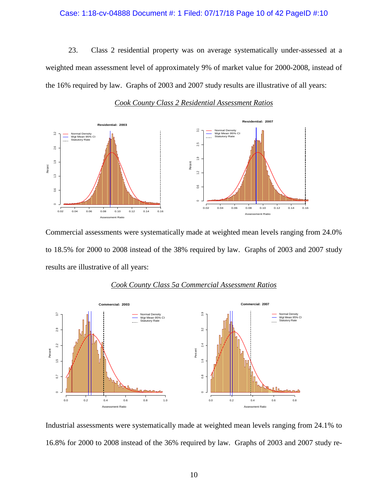### Case: 1:18-cv-04888 Document #: 1 Filed: 07/17/18 Page 10 of 42 PageID #:10

23. Class 2 residential property was on average systematically under-assessed at a weighted mean assessment level of approximately 9% of market value for 2000-2008, instead of the 16% required by law. Graphs of 2003 and 2007 study results are illustrative of all years:



*Cook County Class 2 Residential Assessment Ratios*

Commercial assessments were systematically made at weighted mean levels ranging from 24.0% to 18.5% for 2000 to 2008 instead of the 38% required by law. Graphs of 2003 and 2007 study results are illustrative of all years:



#### *Cook County Class 5a Commercial Assessment Ratios*

Industrial assessments were systematically made at weighted mean levels ranging from 24.1% to 16.8% for 2000 to 2008 instead of the 36% required by law. Graphs of 2003 and 2007 study re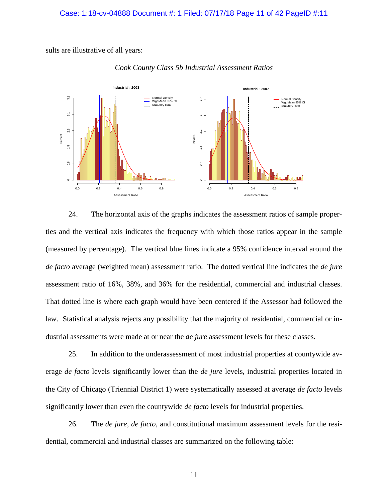sults are illustrative of all years:



## *Cook County Class 5b Industrial Assessment Ratios*

24. The horizontal axis of the graphs indicates the assessment ratios of sample properties and the vertical axis indicates the frequency with which those ratios appear in the sample (measured by percentage). The vertical blue lines indicate a 95% confidence interval around the *de facto* average (weighted mean) assessment ratio. The dotted vertical line indicates the *de jure* assessment ratio of 16%, 38%, and 36% for the residential, commercial and industrial classes. That dotted line is where each graph would have been centered if the Assessor had followed the law. Statistical analysis rejects any possibility that the majority of residential, commercial or industrial assessments were made at or near the *de jure* assessment levels for these classes.

25. In addition to the underassessment of most industrial properties at countywide average *de facto* levels significantly lower than the *de jure* levels, industrial properties located in the City of Chicago (Triennial District 1) were systematically assessed at average *de facto* levels significantly lower than even the countywide *de facto* levels for industrial properties.

26. The *de jure*, *de facto*, and constitutional maximum assessment levels for the residential, commercial and industrial classes are summarized on the following table: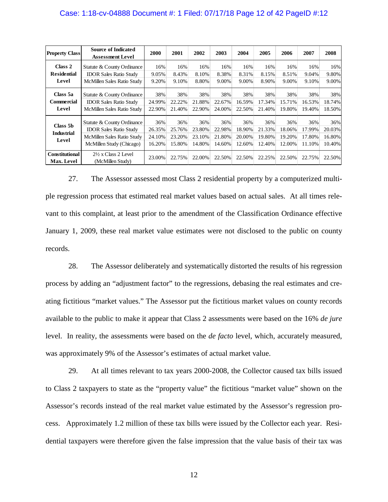## Case: 1:18-cv-04888 Document #: 1 Filed: 07/17/18 Page 12 of 42 PageID #:12

| <b>Property Class</b>                  | <b>Source of Indicated</b><br><b>Assessment Level</b>                                                                 | 2000                              | 2001                              | 2002                              | 2003                              | 2004                              | 2005                              | 2006                              | 2007                              | 2008                              |
|----------------------------------------|-----------------------------------------------------------------------------------------------------------------------|-----------------------------------|-----------------------------------|-----------------------------------|-----------------------------------|-----------------------------------|-----------------------------------|-----------------------------------|-----------------------------------|-----------------------------------|
| Class 2<br><b>Residential</b><br>Level | Statute & County Ordinance<br><b>IDOR Sales Ratio Study</b><br>McMillen Sales Ratio Study                             | 16%<br>9.05%<br>9.20%             | 16%<br>8.43%<br>9.10%             | 16%<br>8.10%<br>8.80%             | 16%<br>8.38%<br>9.00%             | 16%<br>8.31%<br>9.00%             | 16%<br>8.15%<br>8.90%             | 16%<br>8.51%<br>9.00%             | 16%<br>9.04%<br>9.10%             | 16%<br>9.80%<br>9.00%             |
| Class 5a<br><b>Commercial</b><br>Level | Statute & County Ordinance<br><b>IDOR Sales Ratio Study</b><br>McMillen Sales Ratio Study                             | 38%<br>24.99%<br>22.90%           | 38%<br>22.22%<br>21.40%           | 38%<br>21.88%<br>22.90%           | 38%<br>22.67%<br>24.00%           | 38%<br>16.59%<br>22.50%           | 38%<br>17.34%<br>21.40%           | 38%<br>15.71%<br>19.80%           | 38%<br>16.53%<br>19.40%           | 38%<br>18.74%<br>18.50%           |
| Class 5b<br><b>Industrial</b><br>Level | Statute & County Ordinance<br><b>IDOR Sales Ratio Study</b><br>McMillen Sales Ratio Study<br>McMillen Study (Chicago) | 36%<br>26.35%<br>24.10%<br>16.20% | 36%<br>25.76%<br>23.20%<br>15.80% | 36%<br>23.80%<br>23.10%<br>14.80% | 36%<br>22.98%<br>21.80%<br>14.60% | 36%<br>18.90%<br>20.00%<br>12.60% | 36%<br>21.33%<br>19.80%<br>12.40% | 36%<br>18.06%<br>19.20%<br>12.00% | 36%<br>17.99%<br>17.80%<br>11.10% | 36%<br>20.03%<br>16.80%<br>10.40% |
| <b>Constitutional</b><br>Max. Level    | $2\frac{1}{2}$ x Class 2 Level<br>(McMillen Study)                                                                    | 23.00%                            | 22.75%                            | 22.00%                            | 22.50%                            | 22.50%                            | 22.25%                            | 22.50%                            | 22.75%                            | 22.50%                            |

27. The Assessor assessed most Class 2 residential property by a computerized multiple regression process that estimated real market values based on actual sales. At all times relevant to this complaint, at least prior to the amendment of the Classification Ordinance effective January 1, 2009, these real market value estimates were not disclosed to the public on county records.

28. The Assessor deliberately and systematically distorted the results of his regression process by adding an "adjustment factor" to the regressions, debasing the real estimates and creating fictitious "market values." The Assessor put the fictitious market values on county records available to the public to make it appear that Class 2 assessments were based on the 16% *de jure* level. In reality, the assessments were based on the *de facto* level, which, accurately measured, was approximately 9% of the Assessor's estimates of actual market value.

29. At all times relevant to tax years 2000-2008, the Collector caused tax bills issued to Class 2 taxpayers to state as the "property value" the fictitious "market value" shown on the Assessor's records instead of the real market value estimated by the Assessor's regression process. Approximately 1.2 million of these tax bills were issued by the Collector each year. Residential taxpayers were therefore given the false impression that the value basis of their tax was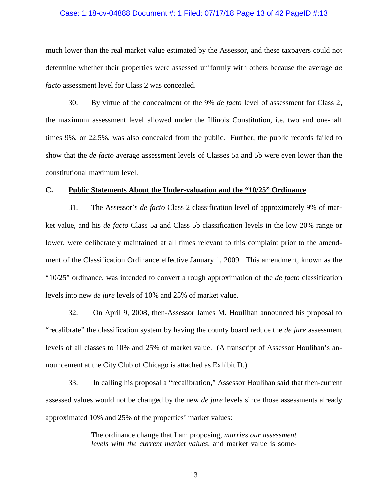## Case: 1:18-cv-04888 Document #: 1 Filed: 07/17/18 Page 13 of 42 PageID #:13

much lower than the real market value estimated by the Assessor, and these taxpayers could not determine whether their properties were assessed uniformly with others because the average *de facto* assessment level for Class 2 was concealed.

30. By virtue of the concealment of the 9% *de facto* level of assessment for Class 2, the maximum assessment level allowed under the Illinois Constitution, i.e. two and one-half times 9%, or 22.5%, was also concealed from the public. Further, the public records failed to show that the *de facto* average assessment levels of Classes 5a and 5b were even lower than the constitutional maximum level.

### **C. Public Statements About the Under-valuation and the "10/25" Ordinance**

31. The Assessor's *de facto* Class 2 classification level of approximately 9% of market value, and his *de facto* Class 5a and Class 5b classification levels in the low 20% range or lower, were deliberately maintained at all times relevant to this complaint prior to the amendment of the Classification Ordinance effective January 1, 2009. This amendment, known as the "10/25" ordinance, was intended to convert a rough approximation of the *de facto* classification levels into new *de jure* levels of 10% and 25% of market value.

32. On April 9, 2008, then-Assessor James M. Houlihan announced his proposal to "recalibrate" the classification system by having the county board reduce the *de jure* assessment levels of all classes to 10% and 25% of market value. (A transcript of Assessor Houlihan's announcement at the City Club of Chicago is attached as Exhibit D.)

33. In calling his proposal a "recalibration," Assessor Houlihan said that then-current assessed values would not be changed by the new *de jure* levels since those assessments already approximated 10% and 25% of the properties' market values:

> The ordinance change that I am proposing, *marries our assessment levels with the current market values*, and market value is some-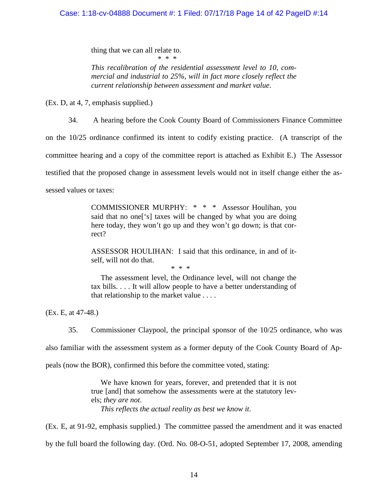## Case: 1:18-cv-04888 Document #: 1 Filed: 07/17/18 Page 14 of 42 PageID #:14

thing that we can all relate to.  $*$  \* \* \* \*

*This recalibration of the residential assessment level to 10, commercial and industrial to 25%, will in fact more closely reflect the current relationship between assessment and market value*.

(Ex. D, at 4, 7, emphasis supplied.)

34. A hearing before the Cook County Board of Commissioners Finance Committee

on the 10/25 ordinance confirmed its intent to codify existing practice. (A transcript of the

committee hearing and a copy of the committee report is attached as Exhibit E.) The Assessor

testified that the proposed change in assessment levels would not in itself change either the as-

sessed values or taxes:

COMMISSIONER MURPHY: \* \* \* Assessor Houlihan, you said that no one['s] taxes will be changed by what you are doing here today, they won't go up and they won't go down; is that correct?

ASSESSOR HOULIHAN: I said that this ordinance, in and of itself, will not do that.

\* \* \*

 The assessment level, the Ordinance level, will not change the tax bills. . . . It will allow people to have a better understanding of that relationship to the market value . . . .

(Ex. E, at 47-48.)

35. Commissioner Claypool, the principal sponsor of the 10/25 ordinance, who was

also familiar with the assessment system as a former deputy of the Cook County Board of Ap-

peals (now the BOR), confirmed this before the committee voted, stating:

 We have known for years, forever, and pretended that it is not true [and] that somehow the assessments were at the statutory levels; *they are not*.  *This reflects the actual reality as best we know it*.

(Ex. E, at 91-92, emphasis supplied.) The committee passed the amendment and it was enacted by the full board the following day. (Ord. No. 08-O-51, adopted September 17, 2008, amending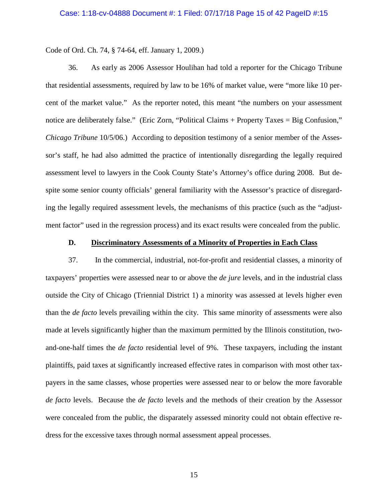Code of Ord. Ch. 74, § 74-64, eff. January 1, 2009.)

36. As early as 2006 Assessor Houlihan had told a reporter for the Chicago Tribune that residential assessments, required by law to be 16% of market value, were "more like 10 percent of the market value." As the reporter noted, this meant "the numbers on your assessment notice are deliberately false." (Eric Zorn, "Political Claims + Property Taxes = Big Confusion," *Chicago Tribune* 10/5/06.) According to deposition testimony of a senior member of the Assessor's staff, he had also admitted the practice of intentionally disregarding the legally required assessment level to lawyers in the Cook County State's Attorney's office during 2008. But despite some senior county officials' general familiarity with the Assessor's practice of disregarding the legally required assessment levels, the mechanisms of this practice (such as the "adjustment factor" used in the regression process) and its exact results were concealed from the public.

### **D. Discriminatory Assessments of a Minority of Properties in Each Class**

37. In the commercial, industrial, not-for-profit and residential classes, a minority of taxpayers' properties were assessed near to or above the *de jure* levels, and in the industrial class outside the City of Chicago (Triennial District 1) a minority was assessed at levels higher even than the *de facto* levels prevailing within the city. This same minority of assessments were also made at levels significantly higher than the maximum permitted by the Illinois constitution, twoand-one-half times the *de facto* residential level of 9%. These taxpayers, including the instant plaintiffs, paid taxes at significantly increased effective rates in comparison with most other taxpayers in the same classes, whose properties were assessed near to or below the more favorable *de facto* levels. Because the *de facto* levels and the methods of their creation by the Assessor were concealed from the public, the disparately assessed minority could not obtain effective redress for the excessive taxes through normal assessment appeal processes.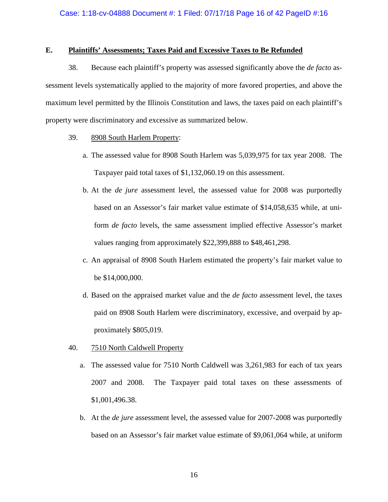## **E. Plaintiffs' Assessments; Taxes Paid and Excessive Taxes to Be Refunded**

38. Because each plaintiff's property was assessed significantly above the *de facto* assessment levels systematically applied to the majority of more favored properties, and above the maximum level permitted by the Illinois Constitution and laws, the taxes paid on each plaintiff's property were discriminatory and excessive as summarized below.

- 39. 8908 South Harlem Property:
	- a. The assessed value for 8908 South Harlem was 5,039,975 for tax year 2008. The Taxpayer paid total taxes of \$1,132,060.19 on this assessment.
	- b. At the *de jure* assessment level, the assessed value for 2008 was purportedly based on an Assessor's fair market value estimate of \$14,058,635 while, at uniform *de facto* levels, the same assessment implied effective Assessor's market values ranging from approximately \$22,399,888 to \$48,461,298.
	- c. An appraisal of 8908 South Harlem estimated the property's fair market value to be \$14,000,000.
	- d. Based on the appraised market value and the *de facto* assessment level, the taxes paid on 8908 South Harlem were discriminatory, excessive, and overpaid by approximately \$805,019.
- 40. 7510 North Caldwell Property
	- a. The assessed value for 7510 North Caldwell was 3,261,983 for each of tax years 2007 and 2008. The Taxpayer paid total taxes on these assessments of \$1,001,496.38.
	- b. At the *de jure* assessment level, the assessed value for 2007-2008 was purportedly based on an Assessor's fair market value estimate of \$9,061,064 while, at uniform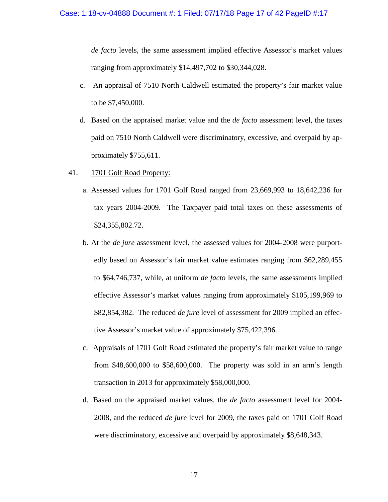*de facto* levels, the same assessment implied effective Assessor's market values ranging from approximately \$14,497,702 to \$30,344,028.

- c. An appraisal of 7510 North Caldwell estimated the property's fair market value to be \$7,450,000.
- d. Based on the appraised market value and the *de facto* assessment level, the taxes paid on 7510 North Caldwell were discriminatory, excessive, and overpaid by approximately \$755,611.
- 41. 1701 Golf Road Property:
	- a. Assessed values for 1701 Golf Road ranged from 23,669,993 to 18,642,236 for tax years 2004-2009. The Taxpayer paid total taxes on these assessments of \$24,355,802.72.
	- b. At the *de jure* assessment level, the assessed values for 2004-2008 were purportedly based on Assessor's fair market value estimates ranging from \$62,289,455 to \$64,746,737, while, at uniform *de facto* levels, the same assessments implied effective Assessor's market values ranging from approximately \$105,199,969 to \$82,854,382. The reduced *de jure* level of assessment for 2009 implied an effective Assessor's market value of approximately \$75,422,396.
	- c. Appraisals of 1701 Golf Road estimated the property's fair market value to range from \$48,600,000 to \$58,600,000. The property was sold in an arm's length transaction in 2013 for approximately \$58,000,000.
	- d. Based on the appraised market values, the *de facto* assessment level for 2004- 2008, and the reduced *de jure* level for 2009, the taxes paid on 1701 Golf Road were discriminatory, excessive and overpaid by approximately \$8,648,343.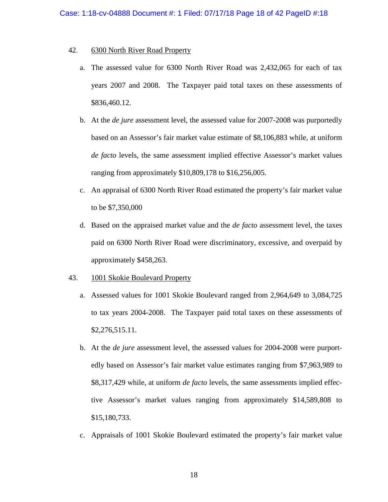## 42. 6300 North River Road Property

- a. The assessed value for 6300 North River Road was 2,432,065 for each of tax years 2007 and 2008. The Taxpayer paid total taxes on these assessments of \$836,460.12.
- b. At the *de jure* assessment level, the assessed value for 2007-2008 was purportedly based on an Assessor's fair market value estimate of \$8,106,883 while, at uniform *de facto* levels, the same assessment implied effective Assessor's market values ranging from approximately \$10,809,178 to \$16,256,005.
- c. An appraisal of 6300 North River Road estimated the property's fair market value to be \$7,350,000
- d. Based on the appraised market value and the *de facto* assessment level, the taxes paid on 6300 North River Road were discriminatory, excessive, and overpaid by approximately \$458,263.

## 43. 1001 Skokie Boulevard Property

- a. Assessed values for 1001 Skokie Boulevard ranged from 2,964,649 to 3,084,725 to tax years 2004-2008. The Taxpayer paid total taxes on these assessments of \$2,276,515.11.
- b. At the *de jure* assessment level, the assessed values for 2004-2008 were purportedly based on Assessor's fair market value estimates ranging from \$7,963,989 to \$8,317,429 while, at uniform *de facto* levels, the same assessments implied effective Assessor's market values ranging from approximately \$14,589,808 to \$15,180,733.
- c. Appraisals of 1001 Skokie Boulevard estimated the property's fair market value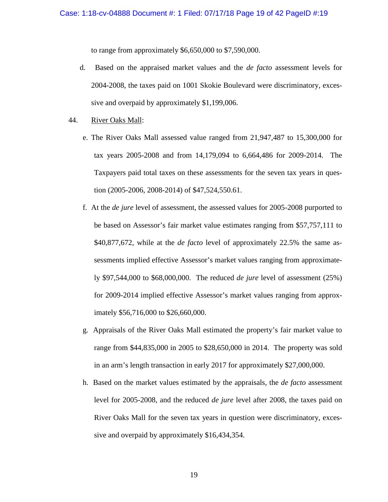to range from approximately \$6,650,000 to \$7,590,000.

- d. Based on the appraised market values and the *de facto* assessment levels for 2004-2008, the taxes paid on 1001 Skokie Boulevard were discriminatory, excessive and overpaid by approximately \$1,199,006.
- 44. River Oaks Mall:
	- e. The River Oaks Mall assessed value ranged from 21,947,487 to 15,300,000 for tax years 2005-2008 and from 14,179,094 to 6,664,486 for 2009-2014. The Taxpayers paid total taxes on these assessments for the seven tax years in question (2005-2006, 2008-2014) of \$47,524,550.61.
	- f. At the *de jure* level of assessment, the assessed values for 2005-2008 purported to be based on Assessor's fair market value estimates ranging from \$57,757,111 to \$40,877,672, while at the *de facto* level of approximately 22.5% the same assessments implied effective Assessor's market values ranging from approximately \$97,544,000 to \$68,000,000. The reduced *de jure* level of assessment (25%) for 2009-2014 implied effective Assessor's market values ranging from approximately \$56,716,000 to \$26,660,000.
	- g. Appraisals of the River Oaks Mall estimated the property's fair market value to range from \$44,835,000 in 2005 to \$28,650,000 in 2014. The property was sold in an arm's length transaction in early 2017 for approximately \$27,000,000.
	- h. Based on the market values estimated by the appraisals, the *de facto* assessment level for 2005-2008, and the reduced *de jure* level after 2008, the taxes paid on River Oaks Mall for the seven tax years in question were discriminatory, excessive and overpaid by approximately \$16,434,354.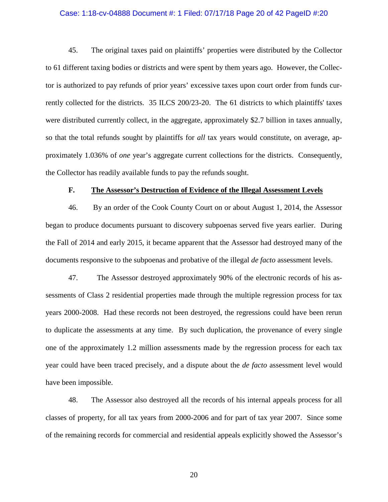### Case: 1:18-cv-04888 Document #: 1 Filed: 07/17/18 Page 20 of 42 PageID #:20

45. The original taxes paid on plaintiffs' properties were distributed by the Collector to 61 different taxing bodies or districts and were spent by them years ago. However, the Collector is authorized to pay refunds of prior years' excessive taxes upon court order from funds currently collected for the districts. 35 ILCS 200/23-20. The 61 districts to which plaintiffs' taxes were distributed currently collect, in the aggregate, approximately \$2.7 billion in taxes annually, so that the total refunds sought by plaintiffs for *all* tax years would constitute, on average, approximately 1.036% of *one* year's aggregate current collections for the districts. Consequently, the Collector has readily available funds to pay the refunds sought.

### **F. The Assessor's Destruction of Evidence of the Illegal Assessment Levels**

46. By an order of the Cook County Court on or about August 1, 2014, the Assessor began to produce documents pursuant to discovery subpoenas served five years earlier. During the Fall of 2014 and early 2015, it became apparent that the Assessor had destroyed many of the documents responsive to the subpoenas and probative of the illegal *de facto* assessment levels.

47. The Assessor destroyed approximately 90% of the electronic records of his assessments of Class 2 residential properties made through the multiple regression process for tax years 2000-2008. Had these records not been destroyed, the regressions could have been rerun to duplicate the assessments at any time. By such duplication, the provenance of every single one of the approximately 1.2 million assessments made by the regression process for each tax year could have been traced precisely, and a dispute about the *de facto* assessment level would have been impossible.

48. The Assessor also destroyed all the records of his internal appeals process for all classes of property, for all tax years from 2000-2006 and for part of tax year 2007. Since some of the remaining records for commercial and residential appeals explicitly showed the Assessor's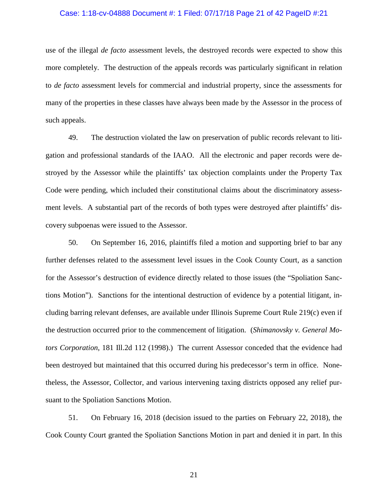### Case: 1:18-cv-04888 Document #: 1 Filed: 07/17/18 Page 21 of 42 PageID #:21

use of the illegal *de facto* assessment levels, the destroyed records were expected to show this more completely. The destruction of the appeals records was particularly significant in relation to *de facto* assessment levels for commercial and industrial property, since the assessments for many of the properties in these classes have always been made by the Assessor in the process of such appeals.

49. The destruction violated the law on preservation of public records relevant to litigation and professional standards of the IAAO. All the electronic and paper records were destroyed by the Assessor while the plaintiffs' tax objection complaints under the Property Tax Code were pending, which included their constitutional claims about the discriminatory assessment levels. A substantial part of the records of both types were destroyed after plaintiffs' discovery subpoenas were issued to the Assessor.

50. On September 16, 2016, plaintiffs filed a motion and supporting brief to bar any further defenses related to the assessment level issues in the Cook County Court, as a sanction for the Assessor's destruction of evidence directly related to those issues (the "Spoliation Sanctions Motion"). Sanctions for the intentional destruction of evidence by a potential litigant, including barring relevant defenses, are available under Illinois Supreme Court Rule 219(c) even if the destruction occurred prior to the commencement of litigation. (*Shimanovsky v. General Motors Corporation*, 181 Ill.2d 112 (1998).) The current Assessor conceded that the evidence had been destroyed but maintained that this occurred during his predecessor's term in office. Nonetheless, the Assessor, Collector, and various intervening taxing districts opposed any relief pursuant to the Spoliation Sanctions Motion.

51. On February 16, 2018 (decision issued to the parties on February 22, 2018), the Cook County Court granted the Spoliation Sanctions Motion in part and denied it in part. In this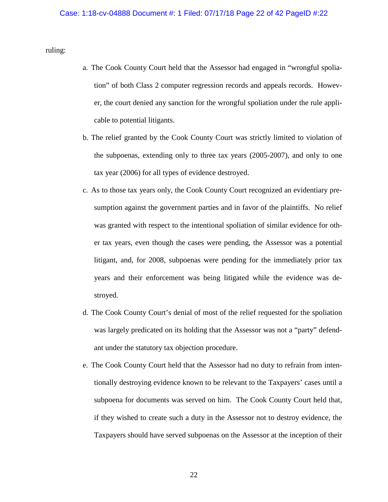ruling:

- a. The Cook County Court held that the Assessor had engaged in "wrongful spoliation" of both Class 2 computer regression records and appeals records. However, the court denied any sanction for the wrongful spoliation under the rule applicable to potential litigants.
- b. The relief granted by the Cook County Court was strictly limited to violation of the subpoenas, extending only to three tax years (2005-2007), and only to one tax year (2006) for all types of evidence destroyed.
- c. As to those tax years only, the Cook County Court recognized an evidentiary presumption against the government parties and in favor of the plaintiffs. No relief was granted with respect to the intentional spoliation of similar evidence for other tax years, even though the cases were pending, the Assessor was a potential litigant, and, for 2008, subpoenas were pending for the immediately prior tax years and their enforcement was being litigated while the evidence was destroyed.
- d. The Cook County Court's denial of most of the relief requested for the spoliation was largely predicated on its holding that the Assessor was not a "party" defendant under the statutory tax objection procedure.
- e. The Cook County Court held that the Assessor had no duty to refrain from intentionally destroying evidence known to be relevant to the Taxpayers' cases until a subpoena for documents was served on him. The Cook County Court held that, if they wished to create such a duty in the Assessor not to destroy evidence, the Taxpayers should have served subpoenas on the Assessor at the inception of their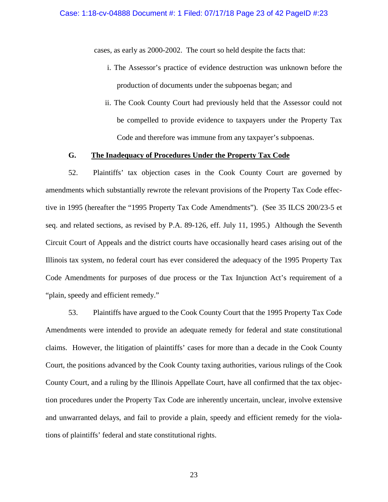cases, as early as 2000-2002. The court so held despite the facts that:

- i. The Assessor's practice of evidence destruction was unknown before the production of documents under the subpoenas began; and
- ii. The Cook County Court had previously held that the Assessor could not be compelled to provide evidence to taxpayers under the Property Tax Code and therefore was immune from any taxpayer's subpoenas.

## **G. The Inadequacy of Procedures Under the Property Tax Code**

52. Plaintiffs' tax objection cases in the Cook County Court are governed by amendments which substantially rewrote the relevant provisions of the Property Tax Code effective in 1995 (hereafter the "1995 Property Tax Code Amendments"). (See 35 ILCS 200/23-5 et seq. and related sections, as revised by P.A. 89-126, eff. July 11, 1995.) Although the Seventh Circuit Court of Appeals and the district courts have occasionally heard cases arising out of the Illinois tax system, no federal court has ever considered the adequacy of the 1995 Property Tax Code Amendments for purposes of due process or the Tax Injunction Act's requirement of a "plain, speedy and efficient remedy."

53. Plaintiffs have argued to the Cook County Court that the 1995 Property Tax Code Amendments were intended to provide an adequate remedy for federal and state constitutional claims. However, the litigation of plaintiffs' cases for more than a decade in the Cook County Court, the positions advanced by the Cook County taxing authorities, various rulings of the Cook County Court, and a ruling by the Illinois Appellate Court, have all confirmed that the tax objection procedures under the Property Tax Code are inherently uncertain, unclear, involve extensive and unwarranted delays, and fail to provide a plain, speedy and efficient remedy for the violations of plaintiffs' federal and state constitutional rights.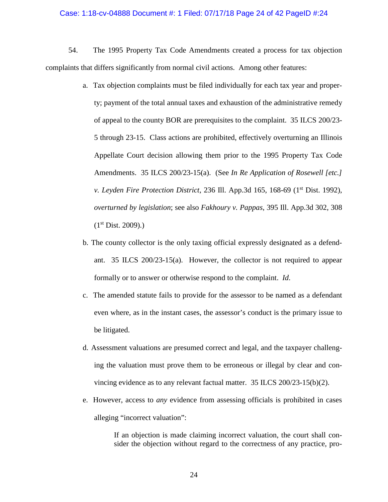#### Case: 1:18-cv-04888 Document #: 1 Filed: 07/17/18 Page 24 of 42 PageID #:24

54. The 1995 Property Tax Code Amendments created a process for tax objection complaints that differs significantly from normal civil actions. Among other features:

- a. Tax objection complaints must be filed individually for each tax year and property; payment of the total annual taxes and exhaustion of the administrative remedy of appeal to the county BOR are prerequisites to the complaint. 35 ILCS 200/23- 5 through 23-15. Class actions are prohibited, effectively overturning an Illinois Appellate Court decision allowing them prior to the 1995 Property Tax Code Amendments. 35 ILCS 200/23-15(a). (See *In Re Application of Rosewell [etc.] v. Leyden Fire Protection District*, 236 Ill. App.3d 165, 168-69 (1<sup>st</sup> Dist. 1992), *overturned by legislation*; see also *Fakhoury v. Pappas*, 395 Ill. App.3d 302, 308  $(1<sup>st</sup> Dist. 2009).$
- b. The county collector is the only taxing official expressly designated as a defendant. 35 ILCS 200/23-15(a). However, the collector is not required to appear formally or to answer or otherwise respond to the complaint. *Id*.
- c. The amended statute fails to provide for the assessor to be named as a defendant even where, as in the instant cases, the assessor's conduct is the primary issue to be litigated.
- d. Assessment valuations are presumed correct and legal, and the taxpayer challenging the valuation must prove them to be erroneous or illegal by clear and convincing evidence as to any relevant factual matter. 35 ILCS 200/23-15(b)(2).
- e. However, access to *any* evidence from assessing officials is prohibited in cases alleging "incorrect valuation":

If an objection is made claiming incorrect valuation, the court shall consider the objection without regard to the correctness of any practice, pro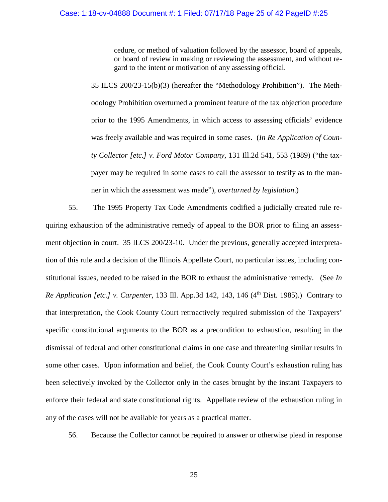cedure, or method of valuation followed by the assessor, board of appeals, or board of review in making or reviewing the assessment, and without regard to the intent or motivation of any assessing official.

35 ILCS 200/23-15(b)(3) (hereafter the "Methodology Prohibition"). The Methodology Prohibition overturned a prominent feature of the tax objection procedure prior to the 1995 Amendments, in which access to assessing officials' evidence was freely available and was required in some cases. (*In Re Application of County Collector [etc.] v. Ford Motor Company*, 131 Ill.2d 541, 553 (1989) ("the taxpayer may be required in some cases to call the assessor to testify as to the manner in which the assessment was made"), *overturned by legislation*.)

55. The 1995 Property Tax Code Amendments codified a judicially created rule requiring exhaustion of the administrative remedy of appeal to the BOR prior to filing an assessment objection in court. 35 ILCS 200/23-10. Under the previous, generally accepted interpretation of this rule and a decision of the Illinois Appellate Court, no particular issues, including constitutional issues, needed to be raised in the BOR to exhaust the administrative remedy. (See *In Re Application [etc.] v. Carpenter, 133 Ill. App.3d 142, 143, 146 (4<sup>th</sup> Dist. 1985).) Contrary to* that interpretation, the Cook County Court retroactively required submission of the Taxpayers' specific constitutional arguments to the BOR as a precondition to exhaustion, resulting in the dismissal of federal and other constitutional claims in one case and threatening similar results in some other cases. Upon information and belief, the Cook County Court's exhaustion ruling has been selectively invoked by the Collector only in the cases brought by the instant Taxpayers to enforce their federal and state constitutional rights. Appellate review of the exhaustion ruling in any of the cases will not be available for years as a practical matter.

56. Because the Collector cannot be required to answer or otherwise plead in response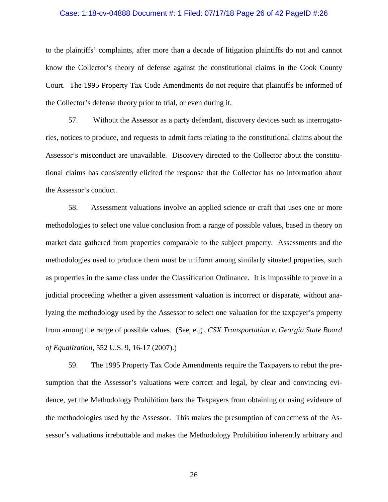### Case: 1:18-cv-04888 Document #: 1 Filed: 07/17/18 Page 26 of 42 PageID #:26

to the plaintiffs' complaints, after more than a decade of litigation plaintiffs do not and cannot know the Collector's theory of defense against the constitutional claims in the Cook County Court. The 1995 Property Tax Code Amendments do not require that plaintiffs be informed of the Collector's defense theory prior to trial, or even during it.

57. Without the Assessor as a party defendant, discovery devices such as interrogatories, notices to produce, and requests to admit facts relating to the constitutional claims about the Assessor's misconduct are unavailable. Discovery directed to the Collector about the constitutional claims has consistently elicited the response that the Collector has no information about the Assessor's conduct.

58. Assessment valuations involve an applied science or craft that uses one or more methodologies to select one value conclusion from a range of possible values, based in theory on market data gathered from properties comparable to the subject property. Assessments and the methodologies used to produce them must be uniform among similarly situated properties, such as properties in the same class under the Classification Ordinance. It is impossible to prove in a judicial proceeding whether a given assessment valuation is incorrect or disparate, without analyzing the methodology used by the Assessor to select one valuation for the taxpayer's property from among the range of possible values. (See, e.g., *CSX Transportation v. Georgia State Board of Equalization*, 552 U.S. 9, 16-17 (2007).)

59. The 1995 Property Tax Code Amendments require the Taxpayers to rebut the presumption that the Assessor's valuations were correct and legal, by clear and convincing evidence, yet the Methodology Prohibition bars the Taxpayers from obtaining or using evidence of the methodologies used by the Assessor. This makes the presumption of correctness of the Assessor's valuations irrebuttable and makes the Methodology Prohibition inherently arbitrary and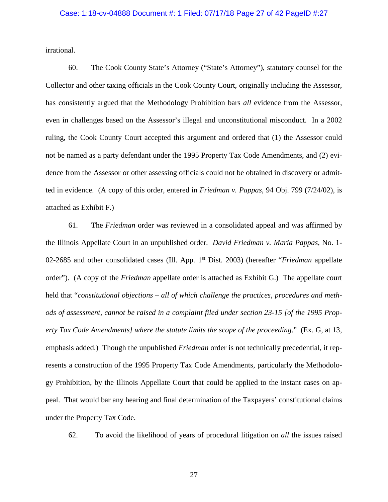### Case: 1:18-cv-04888 Document #: 1 Filed: 07/17/18 Page 27 of 42 PageID #:27

irrational.

60. The Cook County State's Attorney ("State's Attorney"), statutory counsel for the Collector and other taxing officials in the Cook County Court, originally including the Assessor, has consistently argued that the Methodology Prohibition bars *all* evidence from the Assessor, even in challenges based on the Assessor's illegal and unconstitutional misconduct. In a 2002 ruling, the Cook County Court accepted this argument and ordered that (1) the Assessor could not be named as a party defendant under the 1995 Property Tax Code Amendments, and (2) evidence from the Assessor or other assessing officials could not be obtained in discovery or admitted in evidence. (A copy of this order, entered in *Friedman v. Pappas*, 94 Obj. 799 (7/24/02), is attached as Exhibit F.)

61. The *Friedman* order was reviewed in a consolidated appeal and was affirmed by the Illinois Appellate Court in an unpublished order. *David Friedman v. Maria Pappas*, No. 1- 02-2685 and other consolidated cases (Ill. App. 1st Dist. 2003) (hereafter "*Friedman* appellate order"). (A copy of the *Friedman* appellate order is attached as Exhibit G.) The appellate court held that "*constitutional objections – all of which challenge the practices, procedures and methods of assessment, cannot be raised in a complaint filed under section 23-15 [of the 1995 Property Tax Code Amendments] where the statute limits the scope of the proceeding*." (Ex. G, at 13, emphasis added.) Though the unpublished *Friedman* order is not technically precedential, it represents a construction of the 1995 Property Tax Code Amendments, particularly the Methodology Prohibition, by the Illinois Appellate Court that could be applied to the instant cases on appeal. That would bar any hearing and final determination of the Taxpayers' constitutional claims under the Property Tax Code.

62. To avoid the likelihood of years of procedural litigation on *all* the issues raised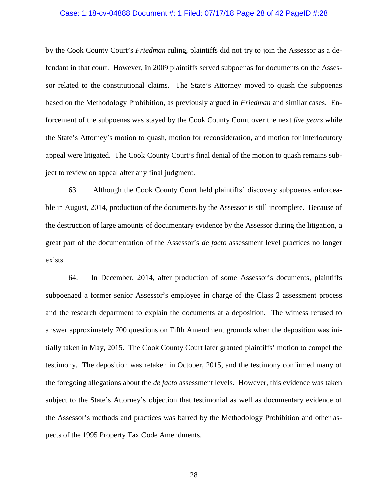### Case: 1:18-cv-04888 Document #: 1 Filed: 07/17/18 Page 28 of 42 PageID #:28

by the Cook County Court's *Friedman* ruling, plaintiffs did not try to join the Assessor as a defendant in that court. However, in 2009 plaintiffs served subpoenas for documents on the Assessor related to the constitutional claims. The State's Attorney moved to quash the subpoenas based on the Methodology Prohibition, as previously argued in *Friedman* and similar cases. Enforcement of the subpoenas was stayed by the Cook County Court over the next *five years* while the State's Attorney's motion to quash, motion for reconsideration, and motion for interlocutory appeal were litigated. The Cook County Court's final denial of the motion to quash remains subject to review on appeal after any final judgment.

63. Although the Cook County Court held plaintiffs' discovery subpoenas enforceable in August, 2014, production of the documents by the Assessor is still incomplete. Because of the destruction of large amounts of documentary evidence by the Assessor during the litigation, a great part of the documentation of the Assessor's *de facto* assessment level practices no longer exists.

64. In December, 2014, after production of some Assessor's documents, plaintiffs subpoenaed a former senior Assessor's employee in charge of the Class 2 assessment process and the research department to explain the documents at a deposition. The witness refused to answer approximately 700 questions on Fifth Amendment grounds when the deposition was initially taken in May, 2015. The Cook County Court later granted plaintiffs' motion to compel the testimony. The deposition was retaken in October, 2015, and the testimony confirmed many of the foregoing allegations about the *de facto* assessment levels. However, this evidence was taken subject to the State's Attorney's objection that testimonial as well as documentary evidence of the Assessor's methods and practices was barred by the Methodology Prohibition and other aspects of the 1995 Property Tax Code Amendments.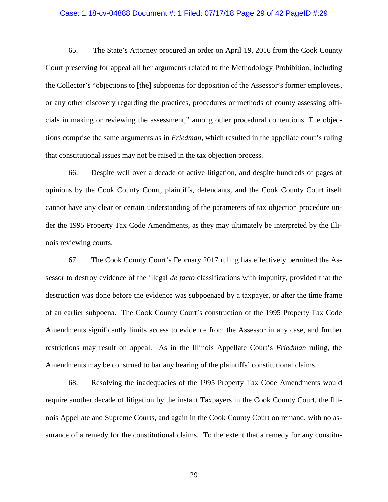### Case: 1:18-cv-04888 Document #: 1 Filed: 07/17/18 Page 29 of 42 PageID #:29

65. The State's Attorney procured an order on April 19, 2016 from the Cook County Court preserving for appeal all her arguments related to the Methodology Prohibition, including the Collector's "objections to [the] subpoenas for deposition of the Assessor's former employees, or any other discovery regarding the practices, procedures or methods of county assessing officials in making or reviewing the assessment," among other procedural contentions. The objections comprise the same arguments as in *Friedman*, which resulted in the appellate court's ruling that constitutional issues may not be raised in the tax objection process.

66. Despite well over a decade of active litigation, and despite hundreds of pages of opinions by the Cook County Court, plaintiffs, defendants, and the Cook County Court itself cannot have any clear or certain understanding of the parameters of tax objection procedure under the 1995 Property Tax Code Amendments, as they may ultimately be interpreted by the Illinois reviewing courts.

67. The Cook County Court's February 2017 ruling has effectively permitted the Assessor to destroy evidence of the illegal *de facto* classifications with impunity, provided that the destruction was done before the evidence was subpoenaed by a taxpayer, or after the time frame of an earlier subpoena. The Cook County Court's construction of the 1995 Property Tax Code Amendments significantly limits access to evidence from the Assessor in any case, and further restrictions may result on appeal. As in the Illinois Appellate Court's *Friedman* ruling, the Amendments may be construed to bar any hearing of the plaintiffs' constitutional claims.

68. Resolving the inadequacies of the 1995 Property Tax Code Amendments would require another decade of litigation by the instant Taxpayers in the Cook County Court, the Illinois Appellate and Supreme Courts, and again in the Cook County Court on remand, with no assurance of a remedy for the constitutional claims. To the extent that a remedy for any constitu-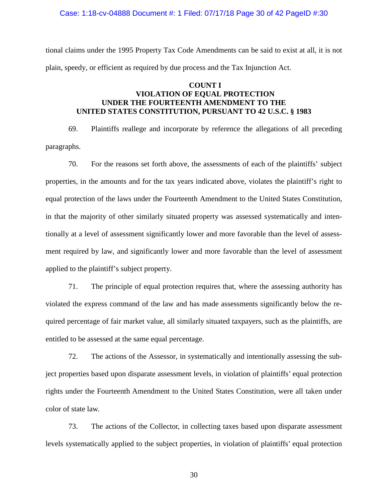Case: 1:18-cv-04888 Document #: 1 Filed: 07/17/18 Page 30 of 42 PageID #:30

tional claims under the 1995 Property Tax Code Amendments can be said to exist at all, it is not plain, speedy, or efficient as required by due process and the Tax Injunction Act.

# **COUNT I VIOLATION OF EQUAL PROTECTION UNDER THE FOURTEENTH AMENDMENT TO THE UNITED STATES CONSTITUTION, PURSUANT TO 42 U.S.C. § 1983**

69. Plaintiffs reallege and incorporate by reference the allegations of all preceding paragraphs.

70. For the reasons set forth above, the assessments of each of the plaintiffs' subject properties, in the amounts and for the tax years indicated above, violates the plaintiff's right to equal protection of the laws under the Fourteenth Amendment to the United States Constitution, in that the majority of other similarly situated property was assessed systematically and intentionally at a level of assessment significantly lower and more favorable than the level of assessment required by law, and significantly lower and more favorable than the level of assessment applied to the plaintiff's subject property.

71. The principle of equal protection requires that, where the assessing authority has violated the express command of the law and has made assessments significantly below the required percentage of fair market value, all similarly situated taxpayers, such as the plaintiffs, are entitled to be assessed at the same equal percentage.

72. The actions of the Assessor, in systematically and intentionally assessing the subject properties based upon disparate assessment levels, in violation of plaintiffs' equal protection rights under the Fourteenth Amendment to the United States Constitution, were all taken under color of state law.

73. The actions of the Collector, in collecting taxes based upon disparate assessment levels systematically applied to the subject properties, in violation of plaintiffs' equal protection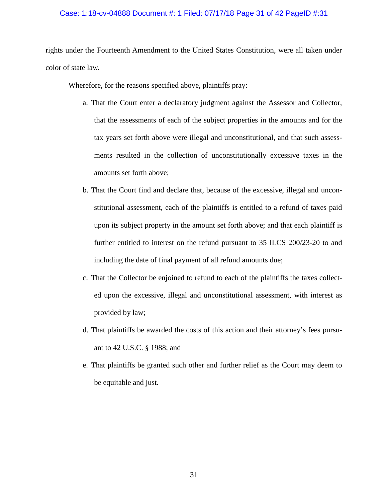### Case: 1:18-cv-04888 Document #: 1 Filed: 07/17/18 Page 31 of 42 PageID #:31

rights under the Fourteenth Amendment to the United States Constitution, were all taken under color of state law.

Wherefore, for the reasons specified above, plaintiffs pray:

- a. That the Court enter a declaratory judgment against the Assessor and Collector, that the assessments of each of the subject properties in the amounts and for the tax years set forth above were illegal and unconstitutional, and that such assessments resulted in the collection of unconstitutionally excessive taxes in the amounts set forth above;
- b. That the Court find and declare that, because of the excessive, illegal and unconstitutional assessment, each of the plaintiffs is entitled to a refund of taxes paid upon its subject property in the amount set forth above; and that each plaintiff is further entitled to interest on the refund pursuant to 35 ILCS 200/23-20 to and including the date of final payment of all refund amounts due;
- c. That the Collector be enjoined to refund to each of the plaintiffs the taxes collected upon the excessive, illegal and unconstitutional assessment, with interest as provided by law;
- d. That plaintiffs be awarded the costs of this action and their attorney's fees pursuant to 42 U.S.C. § 1988; and
- e. That plaintiffs be granted such other and further relief as the Court may deem to be equitable and just.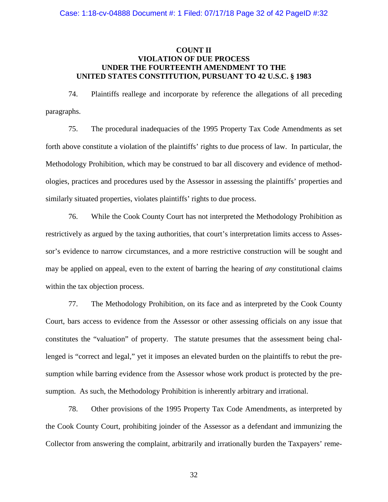## **COUNT II VIOLATION OF DUE PROCESS UNDER THE FOURTEENTH AMENDMENT TO THE UNITED STATES CONSTITUTION, PURSUANT TO 42 U.S.C. § 1983**

74. Plaintiffs reallege and incorporate by reference the allegations of all preceding paragraphs.

75. The procedural inadequacies of the 1995 Property Tax Code Amendments as set forth above constitute a violation of the plaintiffs' rights to due process of law. In particular, the Methodology Prohibition, which may be construed to bar all discovery and evidence of methodologies, practices and procedures used by the Assessor in assessing the plaintiffs' properties and similarly situated properties, violates plaintiffs' rights to due process.

76. While the Cook County Court has not interpreted the Methodology Prohibition as restrictively as argued by the taxing authorities, that court's interpretation limits access to Assessor's evidence to narrow circumstances, and a more restrictive construction will be sought and may be applied on appeal, even to the extent of barring the hearing of *any* constitutional claims within the tax objection process.

77. The Methodology Prohibition, on its face and as interpreted by the Cook County Court, bars access to evidence from the Assessor or other assessing officials on any issue that constitutes the "valuation" of property. The statute presumes that the assessment being challenged is "correct and legal," yet it imposes an elevated burden on the plaintiffs to rebut the presumption while barring evidence from the Assessor whose work product is protected by the presumption. As such, the Methodology Prohibition is inherently arbitrary and irrational.

78. Other provisions of the 1995 Property Tax Code Amendments, as interpreted by the Cook County Court, prohibiting joinder of the Assessor as a defendant and immunizing the Collector from answering the complaint, arbitrarily and irrationally burden the Taxpayers' reme-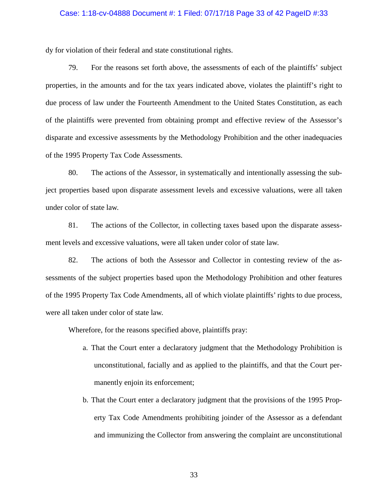#### Case: 1:18-cv-04888 Document #: 1 Filed: 07/17/18 Page 33 of 42 PageID #:33

dy for violation of their federal and state constitutional rights.

79. For the reasons set forth above, the assessments of each of the plaintiffs' subject properties, in the amounts and for the tax years indicated above, violates the plaintiff's right to due process of law under the Fourteenth Amendment to the United States Constitution, as each of the plaintiffs were prevented from obtaining prompt and effective review of the Assessor's disparate and excessive assessments by the Methodology Prohibition and the other inadequacies of the 1995 Property Tax Code Assessments.

80. The actions of the Assessor, in systematically and intentionally assessing the subject properties based upon disparate assessment levels and excessive valuations, were all taken under color of state law.

81. The actions of the Collector, in collecting taxes based upon the disparate assessment levels and excessive valuations, were all taken under color of state law.

82. The actions of both the Assessor and Collector in contesting review of the assessments of the subject properties based upon the Methodology Prohibition and other features of the 1995 Property Tax Code Amendments, all of which violate plaintiffs' rights to due process, were all taken under color of state law.

Wherefore, for the reasons specified above, plaintiffs pray:

- a. That the Court enter a declaratory judgment that the Methodology Prohibition is unconstitutional, facially and as applied to the plaintiffs, and that the Court permanently enjoin its enforcement;
- b. That the Court enter a declaratory judgment that the provisions of the 1995 Property Tax Code Amendments prohibiting joinder of the Assessor as a defendant and immunizing the Collector from answering the complaint are unconstitutional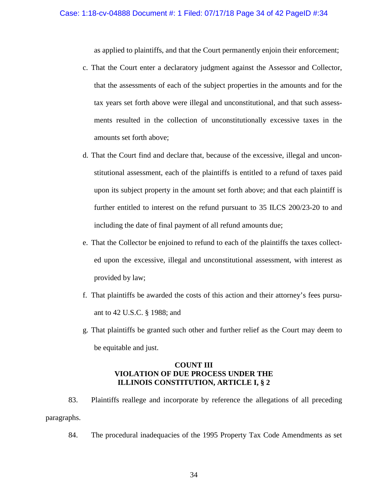as applied to plaintiffs, and that the Court permanently enjoin their enforcement;

- c. That the Court enter a declaratory judgment against the Assessor and Collector, that the assessments of each of the subject properties in the amounts and for the tax years set forth above were illegal and unconstitutional, and that such assessments resulted in the collection of unconstitutionally excessive taxes in the amounts set forth above;
- d. That the Court find and declare that, because of the excessive, illegal and unconstitutional assessment, each of the plaintiffs is entitled to a refund of taxes paid upon its subject property in the amount set forth above; and that each plaintiff is further entitled to interest on the refund pursuant to 35 ILCS 200/23-20 to and including the date of final payment of all refund amounts due;
- e. That the Collector be enjoined to refund to each of the plaintiffs the taxes collected upon the excessive, illegal and unconstitutional assessment, with interest as provided by law;
- f. That plaintiffs be awarded the costs of this action and their attorney's fees pursuant to 42 U.S.C. § 1988; and
- g. That plaintiffs be granted such other and further relief as the Court may deem to be equitable and just.

## **COUNT III VIOLATION OF DUE PROCESS UNDER THE ILLINOIS CONSTITUTION, ARTICLE I, § 2**

- 83. Plaintiffs reallege and incorporate by reference the allegations of all preceding paragraphs.
	- 84. The procedural inadequacies of the 1995 Property Tax Code Amendments as set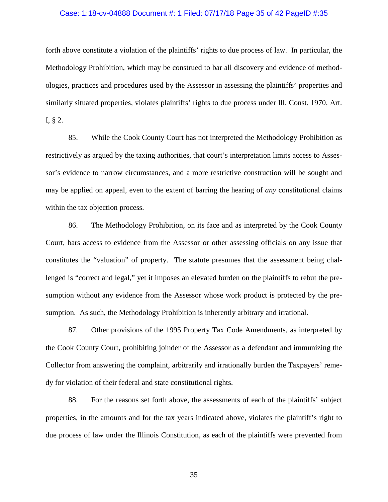### Case: 1:18-cv-04888 Document #: 1 Filed: 07/17/18 Page 35 of 42 PageID #:35

forth above constitute a violation of the plaintiffs' rights to due process of law. In particular, the Methodology Prohibition, which may be construed to bar all discovery and evidence of methodologies, practices and procedures used by the Assessor in assessing the plaintiffs' properties and similarly situated properties, violates plaintiffs' rights to due process under Ill. Const. 1970, Art. I, § 2.

85. While the Cook County Court has not interpreted the Methodology Prohibition as restrictively as argued by the taxing authorities, that court's interpretation limits access to Assessor's evidence to narrow circumstances, and a more restrictive construction will be sought and may be applied on appeal, even to the extent of barring the hearing of *any* constitutional claims within the tax objection process.

86. The Methodology Prohibition, on its face and as interpreted by the Cook County Court, bars access to evidence from the Assessor or other assessing officials on any issue that constitutes the "valuation" of property. The statute presumes that the assessment being challenged is "correct and legal," yet it imposes an elevated burden on the plaintiffs to rebut the presumption without any evidence from the Assessor whose work product is protected by the presumption. As such, the Methodology Prohibition is inherently arbitrary and irrational.

87. Other provisions of the 1995 Property Tax Code Amendments, as interpreted by the Cook County Court, prohibiting joinder of the Assessor as a defendant and immunizing the Collector from answering the complaint, arbitrarily and irrationally burden the Taxpayers' remedy for violation of their federal and state constitutional rights.

88. For the reasons set forth above, the assessments of each of the plaintiffs' subject properties, in the amounts and for the tax years indicated above, violates the plaintiff's right to due process of law under the Illinois Constitution, as each of the plaintiffs were prevented from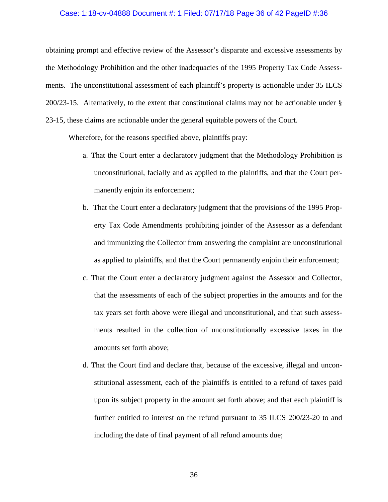#### Case: 1:18-cv-04888 Document #: 1 Filed: 07/17/18 Page 36 of 42 PageID #:36

obtaining prompt and effective review of the Assessor's disparate and excessive assessments by the Methodology Prohibition and the other inadequacies of the 1995 Property Tax Code Assessments. The unconstitutional assessment of each plaintiff's property is actionable under 35 ILCS 200/23-15. Alternatively, to the extent that constitutional claims may not be actionable under § 23-15, these claims are actionable under the general equitable powers of the Court.

Wherefore, for the reasons specified above, plaintiffs pray:

- a. That the Court enter a declaratory judgment that the Methodology Prohibition is unconstitutional, facially and as applied to the plaintiffs, and that the Court permanently enjoin its enforcement;
- b. That the Court enter a declaratory judgment that the provisions of the 1995 Property Tax Code Amendments prohibiting joinder of the Assessor as a defendant and immunizing the Collector from answering the complaint are unconstitutional as applied to plaintiffs, and that the Court permanently enjoin their enforcement;
- c. That the Court enter a declaratory judgment against the Assessor and Collector, that the assessments of each of the subject properties in the amounts and for the tax years set forth above were illegal and unconstitutional, and that such assessments resulted in the collection of unconstitutionally excessive taxes in the amounts set forth above;
- d. That the Court find and declare that, because of the excessive, illegal and unconstitutional assessment, each of the plaintiffs is entitled to a refund of taxes paid upon its subject property in the amount set forth above; and that each plaintiff is further entitled to interest on the refund pursuant to 35 ILCS 200/23-20 to and including the date of final payment of all refund amounts due;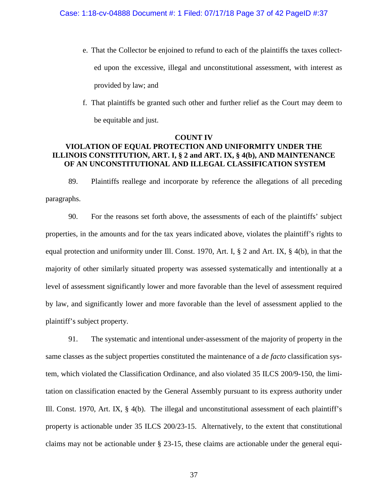- e. That the Collector be enjoined to refund to each of the plaintiffs the taxes collected upon the excessive, illegal and unconstitutional assessment, with interest as provided by law; and
- f. That plaintiffs be granted such other and further relief as the Court may deem to be equitable and just.

# **COUNT IV VIOLATION OF EQUAL PROTECTION AND UNIFORMITY UNDER THE ILLINOIS CONSTITUTION, ART. I, § 2 and ART. IX, § 4(b), AND MAINTENANCE OF AN UNCONSTITUTIONAL AND ILLEGAL CLASSIFICATION SYSTEM**

89. Plaintiffs reallege and incorporate by reference the allegations of all preceding paragraphs.

90. For the reasons set forth above, the assessments of each of the plaintiffs' subject properties, in the amounts and for the tax years indicated above, violates the plaintiff's rights to equal protection and uniformity under Ill. Const. 1970, Art. I, § 2 and Art. IX, § 4(b), in that the majority of other similarly situated property was assessed systematically and intentionally at a level of assessment significantly lower and more favorable than the level of assessment required by law, and significantly lower and more favorable than the level of assessment applied to the plaintiff's subject property.

91. The systematic and intentional under-assessment of the majority of property in the same classes as the subject properties constituted the maintenance of a *de facto* classification system, which violated the Classification Ordinance, and also violated 35 ILCS 200/9-150, the limitation on classification enacted by the General Assembly pursuant to its express authority under Ill. Const. 1970, Art. IX, § 4(b). The illegal and unconstitutional assessment of each plaintiff's property is actionable under 35 ILCS 200/23-15. Alternatively, to the extent that constitutional claims may not be actionable under § 23-15, these claims are actionable under the general equi-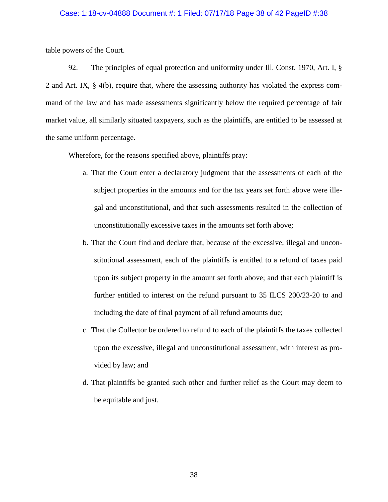#### Case: 1:18-cv-04888 Document #: 1 Filed: 07/17/18 Page 38 of 42 PageID #:38

table powers of the Court.

92. The principles of equal protection and uniformity under Ill. Const. 1970, Art. I, § 2 and Art. IX, § 4(b), require that, where the assessing authority has violated the express command of the law and has made assessments significantly below the required percentage of fair market value, all similarly situated taxpayers, such as the plaintiffs, are entitled to be assessed at the same uniform percentage.

Wherefore, for the reasons specified above, plaintiffs pray:

- a. That the Court enter a declaratory judgment that the assessments of each of the subject properties in the amounts and for the tax years set forth above were illegal and unconstitutional, and that such assessments resulted in the collection of unconstitutionally excessive taxes in the amounts set forth above;
- b. That the Court find and declare that, because of the excessive, illegal and unconstitutional assessment, each of the plaintiffs is entitled to a refund of taxes paid upon its subject property in the amount set forth above; and that each plaintiff is further entitled to interest on the refund pursuant to 35 ILCS 200/23-20 to and including the date of final payment of all refund amounts due;
- c. That the Collector be ordered to refund to each of the plaintiffs the taxes collected upon the excessive, illegal and unconstitutional assessment, with interest as provided by law; and
- d. That plaintiffs be granted such other and further relief as the Court may deem to be equitable and just.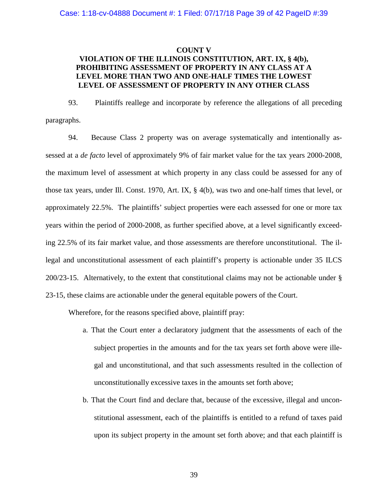### **COUNT V**

# **VIOLATION OF THE ILLINOIS CONSTITUTION, ART. IX, § 4(b), PROHIBITING ASSESSMENT OF PROPERTY IN ANY CLASS AT A LEVEL MORE THAN TWO AND ONE-HALF TIMES THE LOWEST LEVEL OF ASSESSMENT OF PROPERTY IN ANY OTHER CLASS**

93. Plaintiffs reallege and incorporate by reference the allegations of all preceding paragraphs.

94. Because Class 2 property was on average systematically and intentionally assessed at a *de facto* level of approximately 9% of fair market value for the tax years 2000-2008, the maximum level of assessment at which property in any class could be assessed for any of those tax years, under Ill. Const. 1970, Art. IX, § 4(b), was two and one-half times that level, or approximately 22.5%. The plaintiffs' subject properties were each assessed for one or more tax years within the period of 2000-2008, as further specified above, at a level significantly exceeding 22.5% of its fair market value, and those assessments are therefore unconstitutional. The illegal and unconstitutional assessment of each plaintiff's property is actionable under 35 ILCS 200/23-15. Alternatively, to the extent that constitutional claims may not be actionable under § 23-15, these claims are actionable under the general equitable powers of the Court.

Wherefore, for the reasons specified above, plaintiff pray:

- a. That the Court enter a declaratory judgment that the assessments of each of the subject properties in the amounts and for the tax years set forth above were illegal and unconstitutional, and that such assessments resulted in the collection of unconstitutionally excessive taxes in the amounts set forth above;
- b. That the Court find and declare that, because of the excessive, illegal and unconstitutional assessment, each of the plaintiffs is entitled to a refund of taxes paid upon its subject property in the amount set forth above; and that each plaintiff is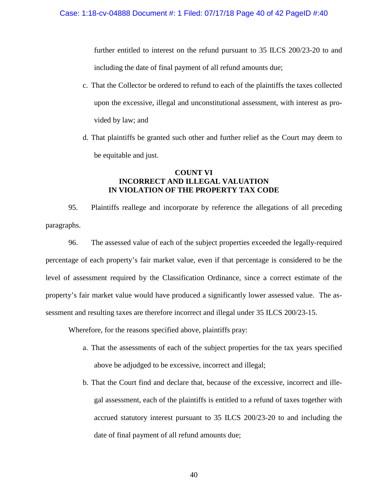further entitled to interest on the refund pursuant to 35 ILCS 200/23-20 to and including the date of final payment of all refund amounts due;

- c. That the Collector be ordered to refund to each of the plaintiffs the taxes collected upon the excessive, illegal and unconstitutional assessment, with interest as provided by law; and
- d. That plaintiffs be granted such other and further relief as the Court may deem to be equitable and just.

## **COUNT VI INCORRECT AND ILLEGAL VALUATION IN VIOLATION OF THE PROPERTY TAX CODE**

95. Plaintiffs reallege and incorporate by reference the allegations of all preceding paragraphs.

96. The assessed value of each of the subject properties exceeded the legally-required percentage of each property's fair market value, even if that percentage is considered to be the level of assessment required by the Classification Ordinance, since a correct estimate of the property's fair market value would have produced a significantly lower assessed value. The assessment and resulting taxes are therefore incorrect and illegal under 35 ILCS 200/23-15.

Wherefore, for the reasons specified above, plaintiffs pray:

- a. That the assessments of each of the subject properties for the tax years specified above be adjudged to be excessive, incorrect and illegal;
- b. That the Court find and declare that, because of the excessive, incorrect and illegal assessment, each of the plaintiffs is entitled to a refund of taxes together with accrued statutory interest pursuant to 35 ILCS 200/23-20 to and including the date of final payment of all refund amounts due;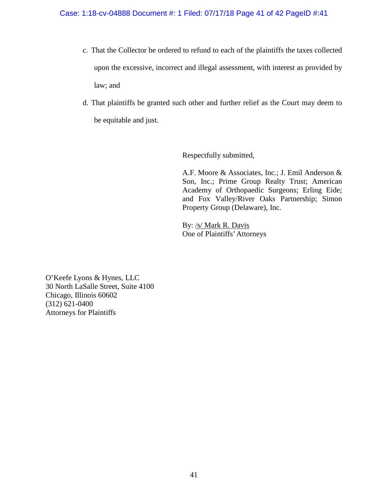- c. That the Collector be ordered to refund to each of the plaintiffs the taxes collected upon the excessive, incorrect and illegal assessment, with interest as provided by law; and
- d. That plaintiffs be granted such other and further relief as the Court may deem to be equitable and just.

Respectfully submitted,

A.F. Moore & Associates, Inc.; J. Emil Anderson & Son, Inc.; Prime Group Realty Trust; American Academy of Orthopaedic Surgeons; Erling Eide; and Fox Valley/River Oaks Partnership; Simon Property Group (Delaware), Inc.

By: /s/ Mark R. Davis One of Plaintiffs'Attorneys

O'Keefe Lyons & Hynes, LLC 30 North LaSalle Street, Suite 4100 Chicago, Illinois 60602 (312) 621-0400 Attorneys for Plaintiffs